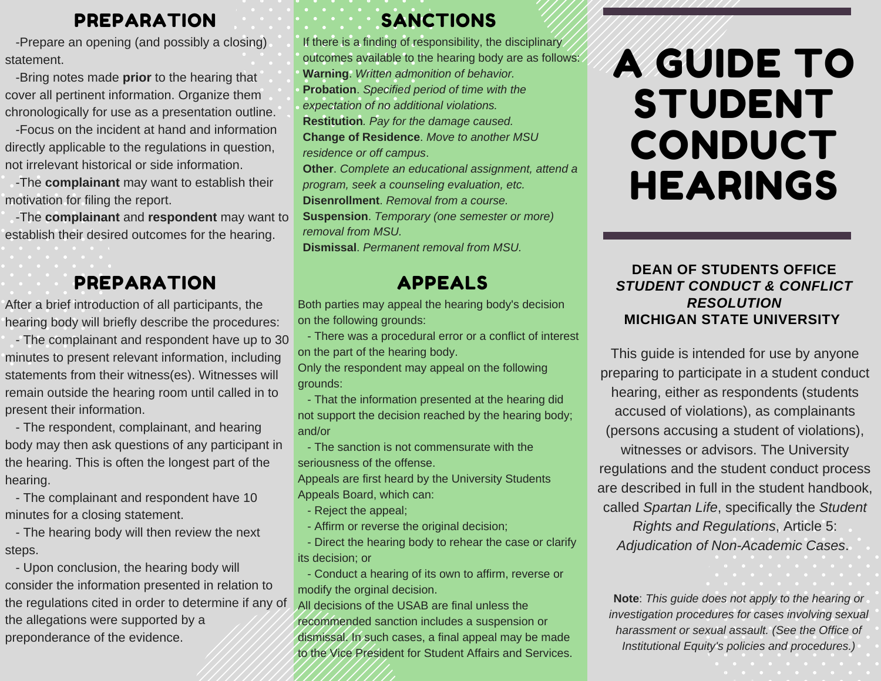#### PREPARATION

-Prepare an opening (and possibly a closing) statement.

-Bring notes made **prior** to the hearing that cover all pertinent information. Organize them chronologically for use as a presentation outline.

-Focus on the incident at hand and information directly applicable to the regulations in question, not irrelevant historical or side information.

-The **complainant** may want to establish their motivation for filing the report.

-The **complainant** and **respondent** may want to establish their desired outcomes for the hearing.

# PREPARATION

After a brief introduction of all participants, the hearing body will briefly describe the procedures:

- The complainant and respondent have up to 30 minutes to present relevant information, including statements from their witness(es). Witnesses will remain outside the hearing room until called in to present their information.

- The respondent, complainant, and hearing body may then ask questions of any participant in the hearing. This is often the longest part of the hearing.

- The complainant and respondent have 10 minutes for a closing statement.

- The hearing body will then review the next steps.

- Upon conclusion, the hearing body will consider the information presented in relation to the regulations cited in order to determine if any of the allegations were supported by a preponderance of the evidence.

## SANCTIONS

If there is a finding of responsibility, the disciplinary outcomes available to the hearing body are as follows: **Warning**. *Written admonition of behavior.* **Probation**. *Specified period of time with the expectation of no additional violations.* **Restitution***. Pay for the damage caused.* **Change of Residence**. *Move to another MSU residence or off campus*. **Other**. *Complete an educational assignment, attend a program, seek a counseling evaluation, etc.* **Disenrollment**. *Removal from a course.* **Suspension**. *Temporary (one semester or more)*

*removal from MSU.*

**Dismissal**. *Permanent removal from MSU.*

#### APPEALS

Both parties may appeal the hearing body's decision on the following grounds:

- There was a procedural error or a conflict of interest on the part of the hearing body.

Only the respondent may appeal on the following grounds:

- That the information presented at the hearing did not support the decision reached by the hearing body; and/or

- The sanction is not commensurate with the seriousness of the offense.

Appeals are first heard by the University Students Appeals Board, which can:

- Reject the appeal;
- Affirm or reverse the original decision;
- Direct the hearing body to rehear the case or clarify its decision; or

- Conduct a hearing of its own to affirm, reverse or modify the orginal decision.

All decisions of the USAB are final unless the recommended sanction includes a suspension or dismissal. In such cases, a final appeal may be made to the Vice President for Student Affairs and Services.

# A GUIDE TO STUDENT CONDUCT HEARINGS

**DEAN OF STUDENTS OFFICE** *STUDENT CONDUCT & CONFLICT RESOLUTION* **MICHIGAN STATE UNIVERSITY**

This guide is intended for use by anyone preparing to participate in a student conduct hearing, either as respondents (students accused of violations), as complainants (persons accusing a student of violations), witnesses or advisors. The University regulations and the student conduct process are described in full in the student handbook, called *Spartan Life*, specifically the *Student Rights and Regulations*, Article 5: *Adjudication of Non-Academic Cases*.

**Note**: *This guide does not apply to the hearing or investigation procedures for cases involving sexual harassment or sexual assault. (See the Office of Institutional Equity's policies and procedures.)*